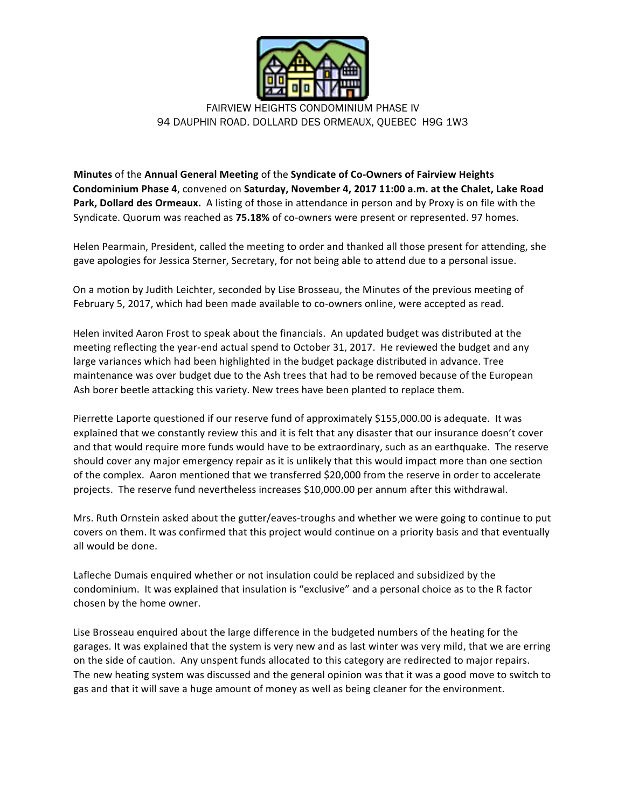

FAIRVIEW HEIGHTS CONDOMINIUM PHASE IV 94 DAUPHIN ROAD. DOLLARD DES ORMEAUX, QUEBEC H9G 1W3

**Minutes** of the Annual General Meeting of the Syndicate of Co-Owners of Fairview Heights **Condominium Phase 4**, convened on Saturday, November 4, 2017 11:00 a.m. at the Chalet, Lake Road **Park, Dollard des Ormeaux.** A listing of those in attendance in person and by Proxy is on file with the Syndicate. Quorum was reached as 75.18% of co-owners were present or represented. 97 homes.

Helen Pearmain, President, called the meeting to order and thanked all those present for attending, she gave apologies for Jessica Sterner, Secretary, for not being able to attend due to a personal issue.

On a motion by Judith Leichter, seconded by Lise Brosseau, the Minutes of the previous meeting of February 5, 2017, which had been made available to co-owners online, were accepted as read.

Helen invited Aaron Frost to speak about the financials. An updated budget was distributed at the meeting reflecting the year-end actual spend to October 31, 2017. He reviewed the budget and any large variances which had been highlighted in the budget package distributed in advance. Tree maintenance was over budget due to the Ash trees that had to be removed because of the European Ash borer beetle attacking this variety. New trees have been planted to replace them.

Pierrette Laporte questioned if our reserve fund of approximately \$155,000.00 is adequate. It was explained that we constantly review this and it is felt that any disaster that our insurance doesn't cover and that would require more funds would have to be extraordinary, such as an earthquake. The reserve should cover any major emergency repair as it is unlikely that this would impact more than one section of the complex. Aaron mentioned that we transferred \$20,000 from the reserve in order to accelerate projects. The reserve fund nevertheless increases \$10,000.00 per annum after this withdrawal.

Mrs. Ruth Ornstein asked about the gutter/eaves-troughs and whether we were going to continue to put covers on them. It was confirmed that this project would continue on a priority basis and that eventually all would be done.

Lafleche Dumais enquired whether or not insulation could be replaced and subsidized by the condominium. It was explained that insulation is "exclusive" and a personal choice as to the R factor chosen by the home owner.

Lise Brosseau enquired about the large difference in the budgeted numbers of the heating for the garages. It was explained that the system is very new and as last winter was very mild, that we are erring on the side of caution. Any unspent funds allocated to this category are redirected to major repairs. The new heating system was discussed and the general opinion was that it was a good move to switch to gas and that it will save a huge amount of money as well as being cleaner for the environment.